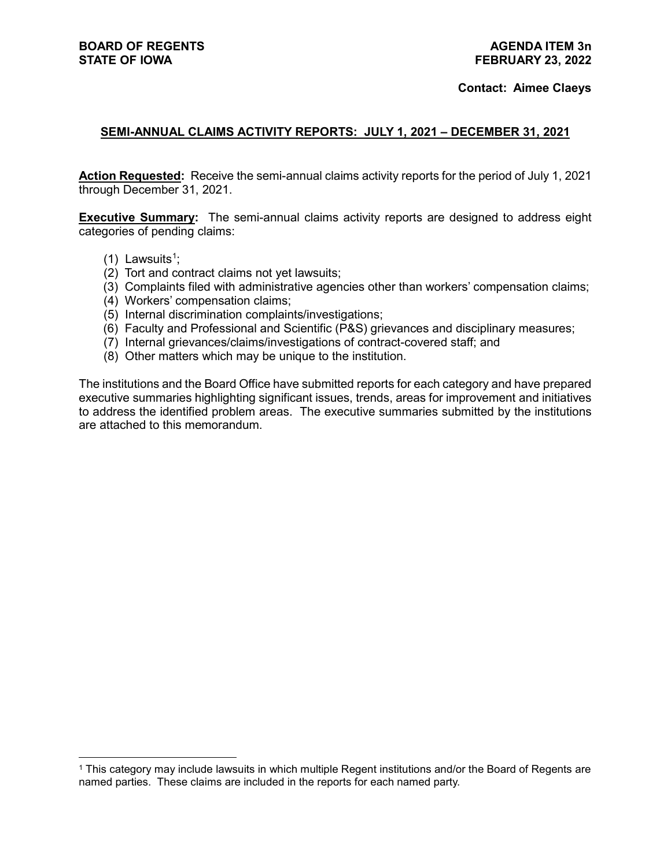#### **Contact: Aimee Claeys**

## **SEMI-ANNUAL CLAIMS ACTIVITY REPORTS: JULY 1, 2021 – DECEMBER 31, 2021**

**Action Requested:** Receive the semi-annual claims activity reports for the period of July 1, 2021 through December 31, 2021.

**Executive Summary:** The semi-annual claims activity reports are designed to address eight categories of pending claims:

- ([1](#page-0-0)) Lawsuits<sup>1</sup>;
- (2) Tort and contract claims not yet lawsuits;
- (3) Complaints filed with administrative agencies other than workers' compensation claims;
- (4) Workers' compensation claims;
- (5) Internal discrimination complaints/investigations;
- (6) Faculty and Professional and Scientific (P&S) grievances and disciplinary measures;
- (7) Internal grievances/claims/investigations of contract-covered staff; and
- (8) Other matters which may be unique to the institution.

The institutions and the Board Office have submitted reports for each category and have prepared executive summaries highlighting significant issues, trends, areas for improvement and initiatives to address the identified problem areas. The executive summaries submitted by the institutions are attached to this memorandum.

<span id="page-0-0"></span> <sup>1</sup> This category may include lawsuits in which multiple Regent institutions and/or the Board of Regents are named parties. These claims are included in the reports for each named party.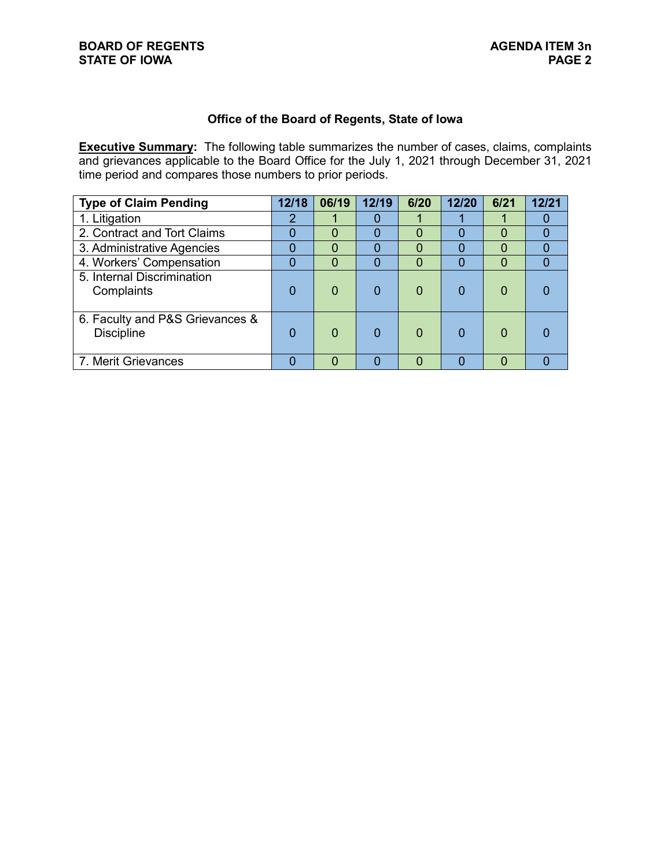# **Office of the Board of Regents, State of Iowa**

**Executive Summary:** The following table summarizes the number of cases, claims, complaints and grievances applicable to the Board Office for the July 1, 2021 through December 31, 2021 time period and compares those numbers to prior periods.

| <b>Type of Claim Pending</b>                         | 12/18 | 06/19    | 12/19 | 6/20     | 12/20 | 6/21 | 12/21 |
|------------------------------------------------------|-------|----------|-------|----------|-------|------|-------|
| 1. Litigation                                        |       |          |       |          |       |      |       |
| 2. Contract and Tort Claims                          |       | 0        |       | 0        |       | 0    |       |
| 3. Administrative Agencies                           |       | 0        |       | $\Omega$ |       | 0    |       |
| 4. Workers' Compensation                             |       | $\Omega$ |       | 0        |       | 0    |       |
| 5. Internal Discrimination<br>Complaints             |       | $\Omega$ |       | 0        |       |      |       |
| 6. Faculty and P&S Grievances &<br><b>Discipline</b> |       | $\Omega$ |       | $\Omega$ |       |      |       |
| 7. Merit Grievances                                  |       | O        |       |          |       |      |       |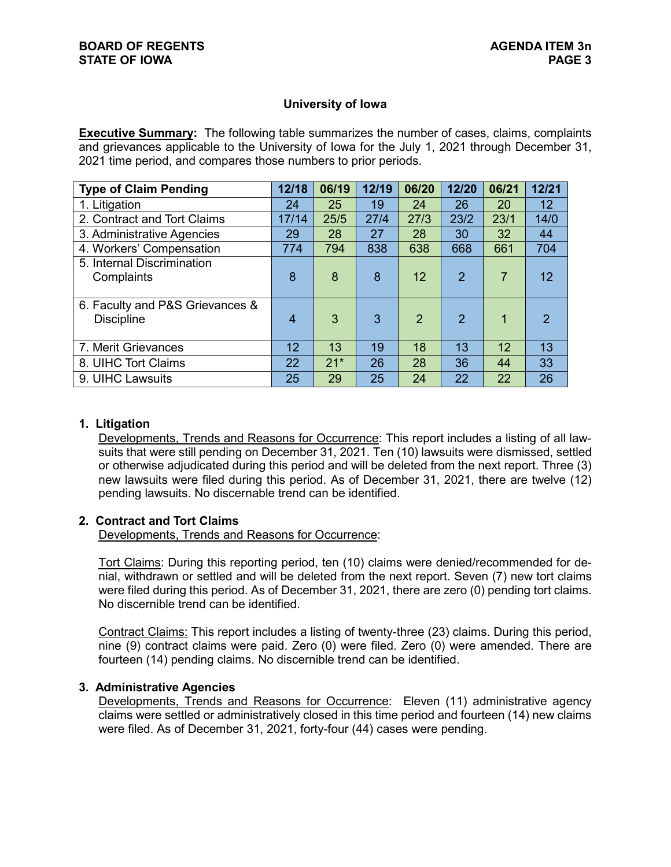## **University of Iowa**

**Executive Summary:** The following table summarizes the number of cases, claims, complaints and grievances applicable to the University of Iowa for the July 1, 2021 through December 31, 2021 time period, and compares those numbers to prior periods.

| <b>Type of Claim Pending</b>                         | 12/18           | 06/19 | 12/19 | 06/20         | 12/20          | 06/21 | 12/21         |
|------------------------------------------------------|-----------------|-------|-------|---------------|----------------|-------|---------------|
| 1. Litigation                                        | 24              | 25    | 19    | 24            | 26             | 20    | 12            |
| 2. Contract and Tort Claims                          | 17/14           | 25/5  | 27/4  | 27/3          | 23/2           | 23/1  | 14/0          |
| 3. Administrative Agencies                           | 29              | 28    | 27    | 28            | 30             | 32    | 44            |
| 4. Workers' Compensation                             | 774             | 794   | 838   | 638           | 668            | 661   | 704           |
| 5. Internal Discrimination<br>Complaints             | 8               | 8     | 8     | 12            | $\overline{2}$ |       | 12            |
| 6. Faculty and P&S Grievances &<br><b>Discipline</b> | 4               | 3     | 3     | $\mathcal{P}$ | $\mathcal{P}$  | 1     | $\mathcal{P}$ |
| 7. Merit Grievances                                  | 12 <sup>°</sup> | 13    | 19    | 18            | 13             | 12    | 13            |
| 8. UIHC Tort Claims                                  | 22              | $21*$ | 26    | 28            | 36             | 44    | 33            |
| 9. UIHC Lawsuits                                     | 25              | 29    | 25    | 24            | 22             | 22    | 26            |

## **1. Litigation**

Developments, Trends and Reasons for Occurrence: This report includes a listing of all lawsuits that were still pending on December 31, 2021. Ten (10) lawsuits were dismissed, settled or otherwise adjudicated during this period and will be deleted from the next report. Three (3) new lawsuits were filed during this period. As of December 31, 2021, there are twelve (12) pending lawsuits. No discernable trend can be identified.

# **2. Contract and Tort Claims**

Developments, Trends and Reasons for Occurrence:

Tort Claims: During this reporting period, ten (10) claims were denied/recommended for denial, withdrawn or settled and will be deleted from the next report. Seven (7) new tort claims were filed during this period. As of December 31, 2021, there are zero (0) pending tort claims. No discernible trend can be identified.

Contract Claims: This report includes a listing of twenty-three (23) claims. During this period, nine (9) contract claims were paid. Zero (0) were filed. Zero (0) were amended. There are fourteen (14) pending claims. No discernible trend can be identified.

#### **3. Administrative Agencies**

Developments, Trends and Reasons for Occurrence: Eleven (11) administrative agency claims were settled or administratively closed in this time period and fourteen (14) new claims were filed. As of December 31, 2021, forty-four (44) cases were pending.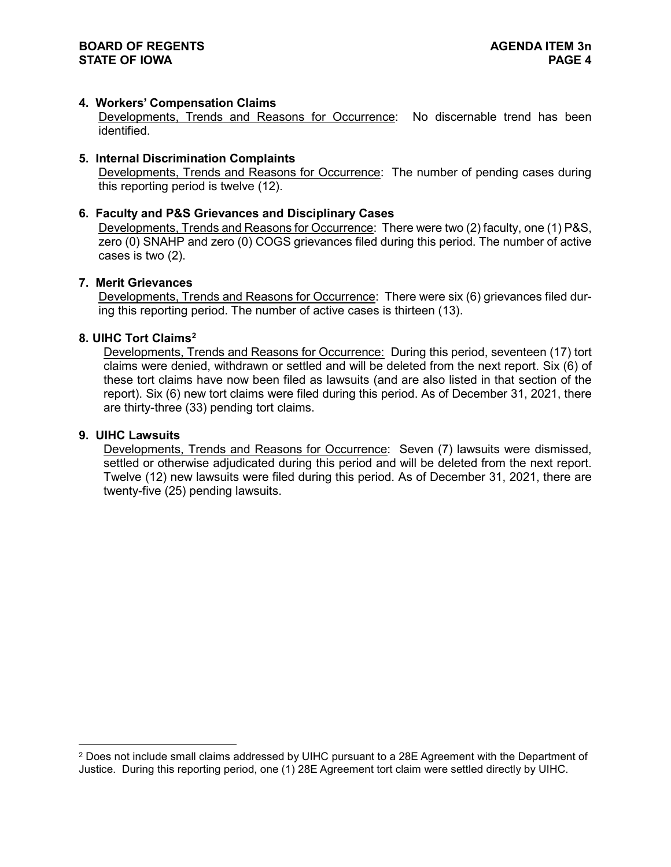## **4. Workers' Compensation Claims**

Developments, Trends and Reasons for Occurrence: No discernable trend has been identified.

## **5. Internal Discrimination Complaints**

Developments, Trends and Reasons for Occurrence: The number of pending cases during this reporting period is twelve (12).

### **6. Faculty and P&S Grievances and Disciplinary Cases**

Developments, Trends and Reasons for Occurrence: There were two (2) faculty, one (1) P&S, zero (0) SNAHP and zero (0) COGS grievances filed during this period. The number of active cases is two (2).

#### **7. Merit Grievances**

Developments, Trends and Reasons for Occurrence: There were six (6) grievances filed during this reporting period. The number of active cases is thirteen (13).

#### **8. UIHC Tort Claims[2](#page-3-0)**

Developments, Trends and Reasons for Occurrence: During this period, seventeen (17) tort claims were denied, withdrawn or settled and will be deleted from the next report. Six (6) of these tort claims have now been filed as lawsuits (and are also listed in that section of the report). Six (6) new tort claims were filed during this period. As of December 31, 2021, there are thirty-three (33) pending tort claims.

## **9. UIHC Lawsuits**

Developments, Trends and Reasons for Occurrence: Seven (7) lawsuits were dismissed, settled or otherwise adjudicated during this period and will be deleted from the next report. Twelve (12) new lawsuits were filed during this period. As of December 31, 2021, there are twenty-five (25) pending lawsuits.

<span id="page-3-0"></span><sup>&</sup>lt;sup>2</sup> Does not include small claims addressed by UIHC pursuant to a 28E Agreement with the Department of Justice. During this reporting period, one (1) 28E Agreement tort claim were settled directly by UIHC.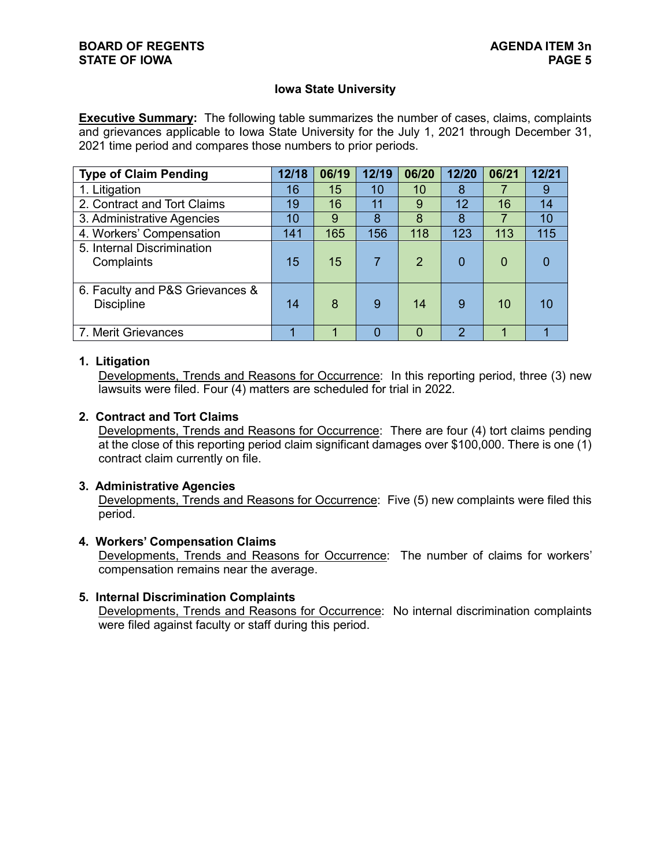## **Iowa State University**

**Executive Summary:** The following table summarizes the number of cases, claims, complaints and grievances applicable to Iowa State University for the July 1, 2021 through December 31, 2021 time period and compares those numbers to prior periods.

| <b>Type of Claim Pending</b>                         | 12/18 | 06/19 | 12/19 | 06/20          | 12/20 | 06/21    | 12/21 |
|------------------------------------------------------|-------|-------|-------|----------------|-------|----------|-------|
| 1. Litigation                                        | 16    | 15    | 10    | 10             | 8     |          | 9     |
| 2. Contract and Tort Claims                          | 19    | 16    | 11    | 9              | 12    | 16       | 14    |
| 3. Administrative Agencies                           | 10    | 9     | 8     | 8              | 8     |          | 10    |
| 4. Workers' Compensation                             | 141   | 165   | 156   | 118            | 123   | 113      | 115   |
| 5. Internal Discrimination<br>Complaints             | 15    | 15    |       | $\overline{2}$ | 0     | $\Omega$ |       |
| 6. Faculty and P&S Grievances &<br><b>Discipline</b> | 14    | 8     | 9     | 14             | 9     | 10       | 10    |
| 7. Merit Grievances                                  |       |       | 0     | 0              | 2     |          |       |

## **1. Litigation**

Developments, Trends and Reasons for Occurrence: In this reporting period, three (3) new lawsuits were filed. Four (4) matters are scheduled for trial in 2022.

## **2. Contract and Tort Claims**

Developments, Trends and Reasons for Occurrence: There are four (4) tort claims pending at the close of this reporting period claim significant damages over \$100,000. There is one (1) contract claim currently on file.

#### **3. Administrative Agencies**

Developments, Trends and Reasons for Occurrence: Five (5) new complaints were filed this period.

#### **4. Workers' Compensation Claims**

Developments, Trends and Reasons for Occurrence: The number of claims for workers' compensation remains near the average.

#### **5. Internal Discrimination Complaints**

Developments, Trends and Reasons for Occurrence: No internal discrimination complaints were filed against faculty or staff during this period.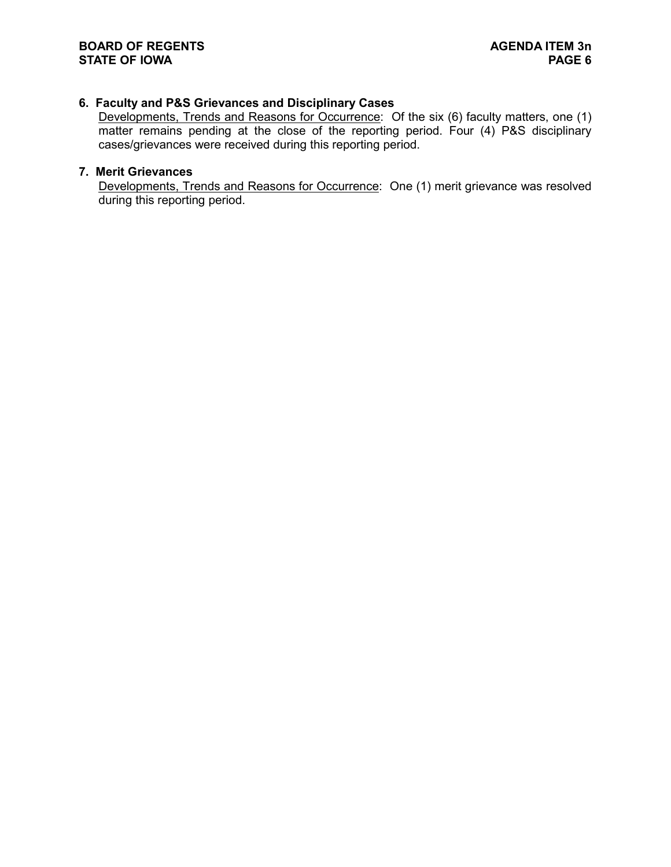## **6. Faculty and P&S Grievances and Disciplinary Cases**

Developments, Trends and Reasons for Occurrence: Of the six (6) faculty matters, one (1) matter remains pending at the close of the reporting period. Four (4) P&S disciplinary cases/grievances were received during this reporting period.

## **7. Merit Grievances**

Developments, Trends and Reasons for Occurrence: One (1) merit grievance was resolved during this reporting period.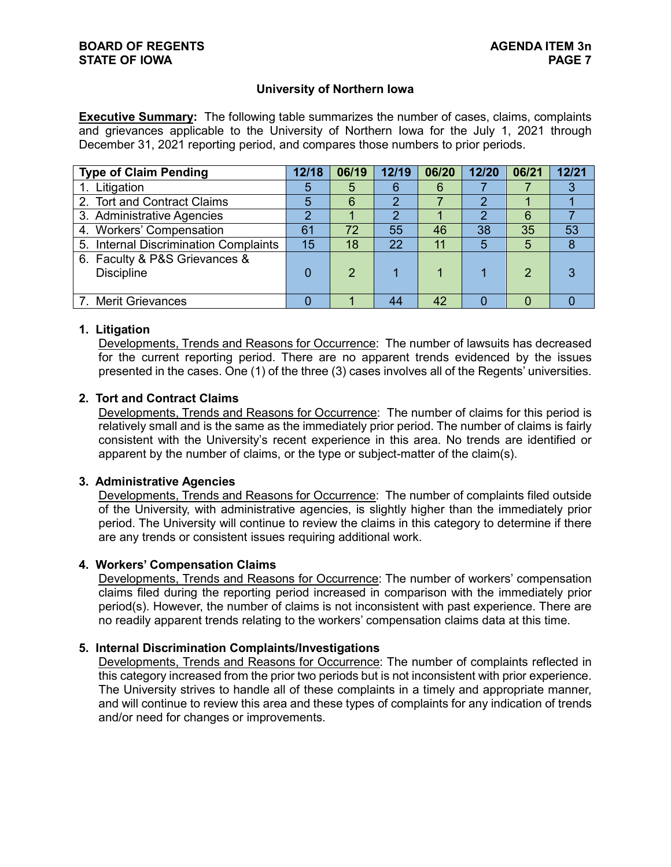## **University of Northern Iowa**

**Executive Summary:** The following table summarizes the number of cases, claims, complaints and grievances applicable to the University of Northern Iowa for the July 1, 2021 through December 31, 2021 reporting period, and compares those numbers to prior periods.

| <b>Type of Claim Pending</b>                       | 12/18 | 06/19 | 12/19 | 06/20 | 12/20 | 06/21 | 12/21 |
|----------------------------------------------------|-------|-------|-------|-------|-------|-------|-------|
| 1. Litigation                                      | 5     | 5     | 6     | 6     |       |       |       |
| 2. Tort and Contract Claims                        | 5     | 6     |       |       |       |       |       |
| 3. Administrative Agencies                         |       |       | າ     |       |       | 6     |       |
| 4. Workers' Compensation                           | 61    | 72    | 55    | 46    | 38    | 35    | 53    |
| 5. Internal Discrimination Complaints              | 15    | 18    | 22    | 11    |       | 5     | 8     |
| 6. Faculty & P&S Grievances &<br><b>Discipline</b> |       |       |       |       |       |       | 3     |
| 7. Merit Grievances                                |       |       | 44    | 42    |       |       |       |

## **1. Litigation**

Developments, Trends and Reasons for Occurrence: The number of lawsuits has decreased for the current reporting period. There are no apparent trends evidenced by the issues presented in the cases. One (1) of the three (3) cases involves all of the Regents' universities.

## **2. Tort and Contract Claims**

Developments, Trends and Reasons for Occurrence: The number of claims for this period is relatively small and is the same as the immediately prior period. The number of claims is fairly consistent with the University's recent experience in this area. No trends are identified or apparent by the number of claims, or the type or subject-matter of the claim(s).

#### **3. Administrative Agencies**

Developments, Trends and Reasons for Occurrence: The number of complaints filed outside of the University, with administrative agencies, is slightly higher than the immediately prior period. The University will continue to review the claims in this category to determine if there are any trends or consistent issues requiring additional work.

#### **4. Workers' Compensation Claims**

Developments, Trends and Reasons for Occurrence: The number of workers' compensation claims filed during the reporting period increased in comparison with the immediately prior period(s). However, the number of claims is not inconsistent with past experience. There are no readily apparent trends relating to the workers' compensation claims data at this time.

## **5. Internal Discrimination Complaints/Investigations**

Developments, Trends and Reasons for Occurrence: The number of complaints reflected in this category increased from the prior two periods but is not inconsistent with prior experience. The University strives to handle all of these complaints in a timely and appropriate manner, and will continue to review this area and these types of complaints for any indication of trends and/or need for changes or improvements.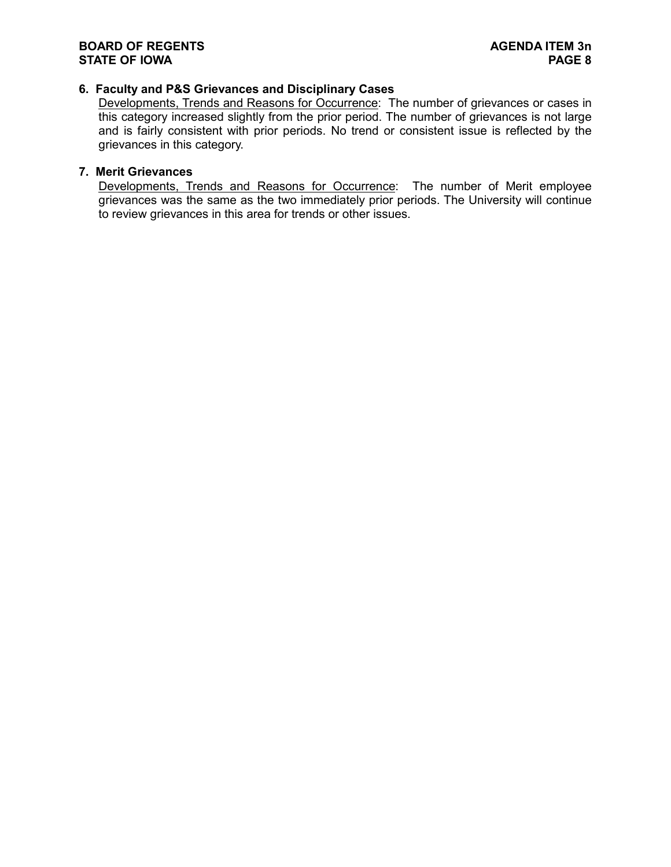# **6. Faculty and P&S Grievances and Disciplinary Cases**

Developments, Trends and Reasons for Occurrence: The number of grievances or cases in this category increased slightly from the prior period. The number of grievances is not large and is fairly consistent with prior periods. No trend or consistent issue is reflected by the grievances in this category.

## **7. Merit Grievances**

Developments, Trends and Reasons for Occurrence: The number of Merit employee grievances was the same as the two immediately prior periods. The University will continue to review grievances in this area for trends or other issues.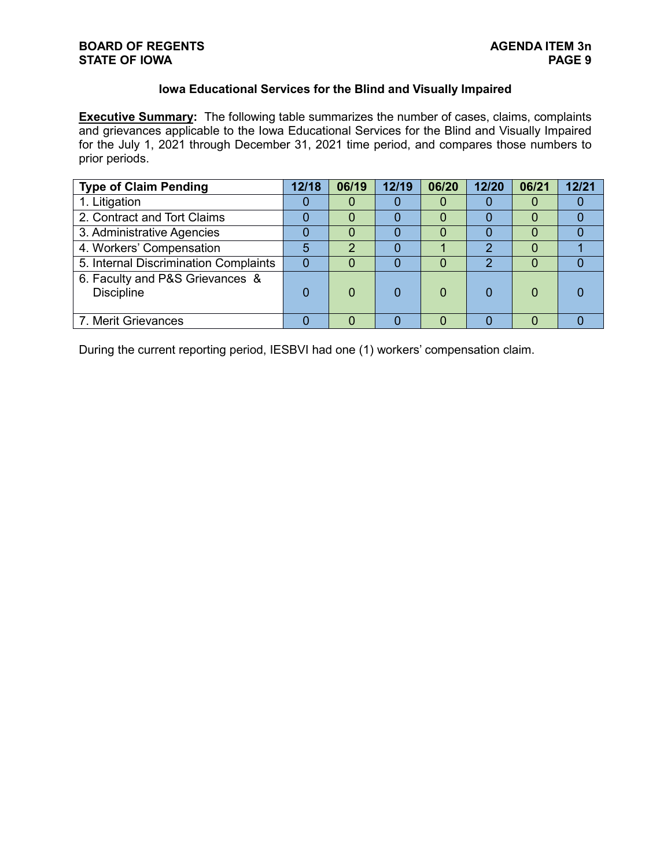# **Iowa Educational Services for the Blind and Visually Impaired**

**Executive Summary:** The following table summarizes the number of cases, claims, complaints and grievances applicable to the Iowa Educational Services for the Blind and Visually Impaired for the July 1, 2021 through December 31, 2021 time period, and compares those numbers to prior periods.

| <b>Type of Claim Pending</b>                         | 12/18 | 06/19 | 12/19 | 06/20 | 12/20 | 06/21 | 12/21 |
|------------------------------------------------------|-------|-------|-------|-------|-------|-------|-------|
| 1. Litigation                                        |       |       |       | O     |       |       |       |
| 2. Contract and Tort Claims                          |       |       |       | 0     |       |       |       |
| 3. Administrative Agencies                           |       |       |       |       |       |       |       |
| 4. Workers' Compensation                             | 5     | 2     |       |       | າ     |       |       |
| 5. Internal Discrimination Complaints                |       |       |       | 0     | っ     |       |       |
| 6. Faculty and P&S Grievances &<br><b>Discipline</b> |       |       |       | 0     |       |       |       |
| 7. Merit Grievances                                  |       |       |       |       |       |       |       |

During the current reporting period, IESBVI had one (1) workers' compensation claim.